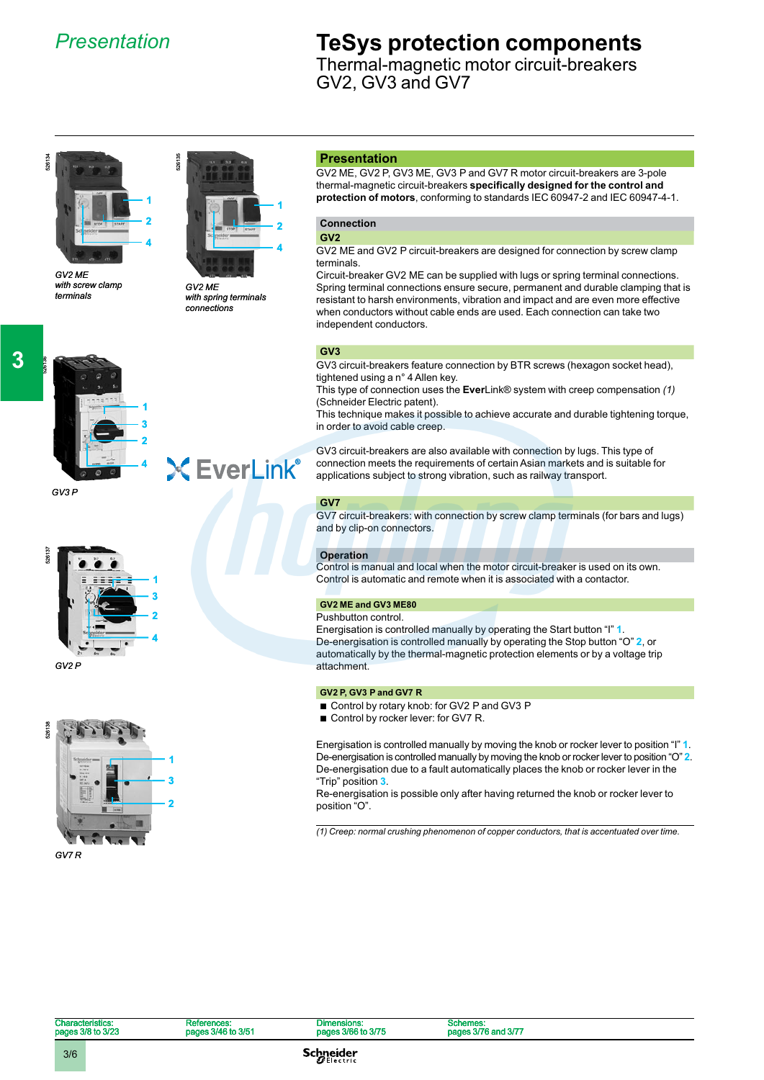### *Presentation*

### **TeSys protection components**

Thermal-magnetic motor circuit-breakers GV2, GV3 and GV7



*with screw clamp terminals*



*GV2 ME with spring terminals connections*

**X EverLink®** 

#### **Presentation**

GV2 ME, GV2 P, GV3 ME, GV3 P and GV7 R motor circuit-breakers are 3-pole thermal-magnetic circuit-breakers **specifically designed for the control and protection of motors**, conforming to standards IEC 60947-2 and IEC 60947-4-1.

### **Connection**

**GV2**

GV2 ME and GV2 P circuit-breakers are designed for connection by screw clamp terminals.

Circuit-breaker GV2 ME can be supplied with lugs or spring terminal connections. Spring terminal connections ensure secure, permanent and durable clamping that is resistant to harsh environments, vibration and impact and are even more effective when conductors without cable ends are used. Each connection can take two independent conductors.

#### **GV3**

GV3 circuit-breakers feature connection by BTR screws (hexagon socket head), tightened using a n° 4 Allen key.

This type of connection uses the **Ever**Link® system with creep compensation *(1)* (Schneider Electric patent).

This technique makes it possible to achieve accurate and durable tightening torque, in order to avoid cable creep.

GV3 circuit-breakers are also available with connection by lugs. This type of connection meets the requirements of certain Asian markets and is suitable for applications subject to strong vibration, such as railway transport.

#### **GV7**

GV7 circuit-breakers: with connection by screw clamp terminals (for bars and lugs) and by clip-on connectors.

#### **Operation**

Control is manual and local when the motor circuit-breaker is used on its own. Control is automatic and remote when it is associated with a contactor.

### **GV2 ME and GV3 ME80**

Pushbutton control. Energisation is controlled manually by operating the Start button "I" **1**. De-energisation is controlled manually by operating the Stop button "O" **2**, or automatically by the thermal-magnetic protection elements or by a voltage trip attachment.

### **GV2 P, GV3 P and GV7 R**

- Control by rotary knob: for GV2 P and GV3 P
- Control by rocker lever: for GV7 R.

Energisation is controlled manually by moving the knob or rocker lever to position "I" **1**. De-energisation is controlled manually by moving the knob or rocker lever to position "O" **2**. De-energisation due to a fault automatically places the knob or rocker lever in the "Trip" position **3**.

Re-energisation is possible only after having returned the knob or rocker lever to position "O".

*(1) Creep: normal crushing phenomenon of copper conductors, that is accentuated over time.*



**1 3**

**2**





526137

526136

**3**

*GV3 P*

**Characteristics:** pages 3/8 to 3/23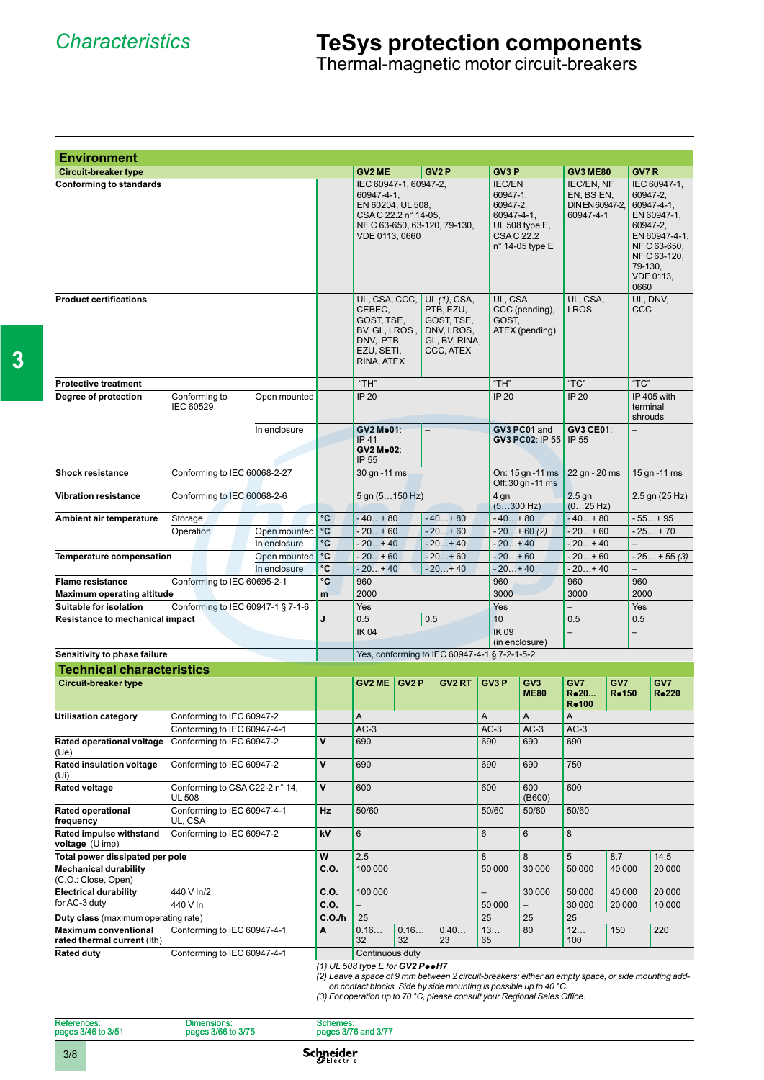Thermal-magnetic motor circuit-breakers

| <b>Environment</b>                                                           |                                                                                |              |                             |                                                                                                    |      |                   |                                                                                     |                                                                         |                                   |                                                          |                          |                                         |                                                                                                                |
|------------------------------------------------------------------------------|--------------------------------------------------------------------------------|--------------|-----------------------------|----------------------------------------------------------------------------------------------------|------|-------------------|-------------------------------------------------------------------------------------|-------------------------------------------------------------------------|-----------------------------------|----------------------------------------------------------|--------------------------|-----------------------------------------|----------------------------------------------------------------------------------------------------------------|
| <b>Circuit-breaker type</b>                                                  |                                                                                |              |                             | GV2 ME                                                                                             |      | GV <sub>2</sub> P |                                                                                     | GV <sub>3</sub> P                                                       |                                   | <b>GV3 ME80</b>                                          |                          | GV7R                                    |                                                                                                                |
| <b>Conforming to standards</b>                                               |                                                                                |              |                             | IEC 60947-1, 60947-2,<br>60947-4-1,<br>EN 60204, UL 508,<br>CSA C 22.2 n° 14-05,<br>VDE 0113, 0660 |      |                   | NF C 63-650, 63-120, 79-130,                                                        | <b>IEC/EN</b><br>60947-1.<br>60947-2,<br>60947-4-1,<br><b>CSAC 22.2</b> | UL 508 type E,<br>n° 14-05 type E | IEC/EN, NF<br>EN, BS EN,<br>DIN EN 60947-2,<br>60947-4-1 |                          | 60947-2,<br>60947-2.<br>79-130,<br>0660 | IEC 60947-1,<br>60947-4-1,<br>EN 60947-1,<br>EN 60947-4-1,<br>NF C 63-650,<br>NF C 63-120,<br><b>VDE 0113,</b> |
| <b>Product certifications</b>                                                |                                                                                |              |                             | UL, CSA, CCC,<br>CEBEC,<br>GOST. TSE.<br>BV, GL, LROS,<br>DNV, PTB,<br>EZU, SETI,<br>RINA, ATEX    |      |                   | UL (1), CSA,<br>PTB, EZU,<br>GOST, TSE,<br>DNV, LROS,<br>GL, BV, RINA,<br>CCC, ATEX | UL, CSA,<br>GOST,                                                       | CCC (pending),<br>ATEX (pending)  | UL, CSA,<br>LROS                                         |                          | UL, DNV,<br>CCC                         |                                                                                                                |
| <b>Protective treatment</b>                                                  |                                                                                |              |                             | $H$ "TH"                                                                                           |      |                   |                                                                                     | $H$ "TH"                                                                |                                   | "TC"                                                     |                          | $T^{\prime}$ C"                         |                                                                                                                |
| Degree of protection                                                         | Conforming to<br><b>IEC 60529</b>                                              | Open mounted |                             | IP 20                                                                                              |      |                   |                                                                                     | IP 20                                                                   |                                   | IP 20                                                    |                          | terminal<br>shrouds                     | IP 405 with                                                                                                    |
|                                                                              |                                                                                | In enclosure |                             | GV2 Mo01:<br><b>IP 41</b><br><b>GV2 Mo02:</b><br>IP 55                                             |      |                   |                                                                                     |                                                                         | GV3 PC01 and<br>GV3 PC02: IP 55   | <b>GV3 CE01:</b><br>IP 55                                |                          |                                         |                                                                                                                |
| <b>Shock resistance</b>                                                      | Conforming to IEC 60068-2-27                                                   |              |                             | 30 gn - 11 ms                                                                                      |      |                   | On: 15 gn - 11 ms<br>Off: 30 gn - 11 ms                                             | 22 gn - 20 ms                                                           |                                   |                                                          | 15 gn - 11 ms            |                                         |                                                                                                                |
| <b>Vibration resistance</b>                                                  | Conforming to IEC 60068-2-6                                                    |              |                             | 5 gn (5150 Hz)                                                                                     |      |                   |                                                                                     | 4 gn<br>$(5300$ Hz)                                                     |                                   | $2.5$ gn<br>(025 Hz)                                     |                          |                                         | 2.5 gn (25 Hz)                                                                                                 |
| Ambient air temperature                                                      | Storage                                                                        |              | °C                          | $-40+80$                                                                                           |      |                   | $-40+80$                                                                            | $-40+80$                                                                |                                   | $-40+80$                                                 |                          |                                         | - 55+95                                                                                                        |
|                                                                              | Operation                                                                      | Open mounted | °C                          | $-20+60$                                                                                           |      |                   | $-20+60$                                                                            |                                                                         | $-20+60(2)$                       | $-20+60$                                                 |                          |                                         | $-25+70$                                                                                                       |
|                                                                              |                                                                                | In enclosure | °C                          | $-20+40$                                                                                           |      |                   | $-20+40$                                                                            | $-20+40$                                                                |                                   | $-20+40$                                                 |                          |                                         |                                                                                                                |
| <b>Temperature compensation</b>                                              |                                                                                | Open mounted | ∣°C                         | $-20+60$                                                                                           |      |                   | $-20+60$                                                                            | $-20+60$                                                                |                                   | $-20+60$                                                 |                          |                                         | $-25 + 55(3)$                                                                                                  |
|                                                                              |                                                                                | In enclosure | °C                          | $-20+40$                                                                                           |      |                   | $-20+40$                                                                            | $-20+40$                                                                |                                   | $-20+40$                                                 |                          |                                         |                                                                                                                |
| <b>Flame resistance</b>                                                      | Conforming to IEC 60695-2-1                                                    |              | °C                          | 960                                                                                                |      |                   |                                                                                     | 960                                                                     |                                   | 960                                                      |                          | 960                                     |                                                                                                                |
| <b>Maximum operating altitude</b>                                            |                                                                                |              | m                           | 2000                                                                                               |      |                   |                                                                                     | 3000                                                                    |                                   | 3000                                                     |                          | 2000                                    |                                                                                                                |
| Suitable for isolation                                                       | Conforming to IEC 60947-1 § 7-1-6                                              |              | J                           | Yes<br>0.5                                                                                         |      | 0.5               |                                                                                     | Yes<br>10                                                               |                                   | 0.5                                                      |                          | Yes<br>0.5                              |                                                                                                                |
| <b>Resistance to mechanical impact</b>                                       |                                                                                |              |                             | <b>IK04</b>                                                                                        |      |                   | <b>IK09</b>                                                                         | (in enclosure)                                                          |                                   |                                                          | $\overline{\phantom{0}}$ |                                         |                                                                                                                |
| Sensitivity to phase failure                                                 |                                                                                |              |                             |                                                                                                    |      |                   | Yes, conforming to IEC 60947-4-1 § 7-2-1-5-2                                        |                                                                         |                                   |                                                          |                          |                                         |                                                                                                                |
| <b>Technical characteristics</b>                                             |                                                                                |              |                             |                                                                                                    |      |                   |                                                                                     |                                                                         |                                   |                                                          |                          |                                         |                                                                                                                |
| <b>Circuit-breaker type</b>                                                  |                                                                                |              |                             | $GV2ME$ GV2 P                                                                                      |      |                   | GV2 RT                                                                              | GV <sub>3</sub> P                                                       | GV <sub>3</sub><br><b>ME80</b>    | GV7<br>R.20<br>Ro100                                     | GV7<br>Ro 150            |                                         | GV7<br><b>R</b> <sup>•</sup> 220                                                                               |
| <b>Utilisation category</b>                                                  | Conforming to IEC 60947-2                                                      |              |                             | A                                                                                                  |      |                   |                                                                                     | Α                                                                       | A                                 | A                                                        |                          |                                         |                                                                                                                |
|                                                                              | Conforming to IEC 60947-4-1                                                    |              |                             | $AC-3$                                                                                             |      |                   |                                                                                     | $AC-3$                                                                  | $AC-3$                            | $AC-3$                                                   |                          |                                         |                                                                                                                |
| Rated operational voltage<br>(Ue)<br><b>Rated insulation voltage</b>         | Conforming to IEC 60947-2<br>Conforming to IEC 60947-2                         |              | $\mathsf{v}$<br>$\mathbf v$ | 690<br>690                                                                                         |      |                   |                                                                                     | 690<br>690                                                              | 690                               | 690                                                      |                          |                                         |                                                                                                                |
| (Ui)<br>Rated voltage                                                        |                                                                                |              | $\mathsf{v}$                |                                                                                                    |      |                   |                                                                                     | 600                                                                     | 750<br>690<br>600                 |                                                          |                          |                                         |                                                                                                                |
| <b>Rated operational</b>                                                     | Conforming to CSA C22-2 n° 14,<br><b>UL 508</b><br>Conforming to IEC 60947-4-1 |              | Hz                          | 600<br>50/60                                                                                       |      | 50/60             | (B600)<br>50/60                                                                     | 600                                                                     |                                   |                                                          |                          |                                         |                                                                                                                |
| frequency<br>UL, CSA<br>Rated impulse withstand<br>Conforming to IEC 60947-2 |                                                                                |              | kV                          | 6                                                                                                  |      |                   |                                                                                     | $\,6$                                                                   | 6                                 | 50/60<br>8                                               |                          |                                         |                                                                                                                |
| voltage (U imp)<br>Total power dissipated per pole                           |                                                                                |              | W                           | 2.5                                                                                                |      |                   |                                                                                     | 8                                                                       | 8                                 | 5                                                        | 8.7                      |                                         | 14.5                                                                                                           |
| <b>Mechanical durability</b>                                                 |                                                                                |              | C.O.                        | 100 000                                                                                            |      |                   |                                                                                     | 50 000                                                                  | 30 000                            | 50 000                                                   | 40 000                   |                                         | 20 000                                                                                                         |
| (C.O.: Close, Open)<br><b>Electrical durability</b>                          | 440 V In/2                                                                     |              | C.O.                        | 100 000                                                                                            |      |                   |                                                                                     |                                                                         | 30 000                            | 50 000                                                   | 40 000                   |                                         | 20 000                                                                                                         |
| for AC-3 duty                                                                | 440 V In                                                                       |              | C.O.                        | $\overline{\phantom{0}}$                                                                           |      |                   |                                                                                     | 50 000                                                                  | $\overline{\phantom{0}}$          | 30 000                                                   | 20 000                   |                                         | 10 000                                                                                                         |
| Duty class (maximum operating rate)                                          |                                                                                |              | C.O.lh                      | 25                                                                                                 |      |                   |                                                                                     | 25                                                                      | 25                                | 25                                                       |                          |                                         |                                                                                                                |
| <b>Maximum conventional</b>                                                  | Conforming to IEC 60947-4-1                                                    |              | A                           | 0.16                                                                                               | 0.16 |                   | 0.40                                                                                | 13                                                                      | 80                                | 12                                                       | 150                      |                                         | 220                                                                                                            |
| rated thermal current (lth)                                                  |                                                                                |              |                             | 32                                                                                                 | 32   |                   | 23                                                                                  | 65                                                                      |                                   | 100                                                      |                          |                                         |                                                                                                                |
| <b>Rated duty</b>                                                            | Conforming to IEC 60947-4-1                                                    |              |                             | Continuous duty                                                                                    |      |                   |                                                                                     |                                                                         |                                   |                                                          |                          |                                         |                                                                                                                |
|                                                                              |                                                                                |              |                             | (1) UL 508 type E for GV2 $Pe$ .H7                                                                 |      |                   |                                                                                     |                                                                         |                                   |                                                          |                          |                                         |                                                                                                                |

**3**

(1) UL 508 type E for **GV2 P••H7**<br>(2) Leave a space of 9 mm between 2 circuit-breakers: either an empty space, or side mounting add-<br>on contact blocks. Side by side mounting is possible up to 40 °C.

(3) For operation up to 70 °C, please consult your Regional Sales Office.

| References:        |  | Dimensions:        | Schemes:            |  |
|--------------------|--|--------------------|---------------------|--|
| pages 3/46 to 3/51 |  | pages 3/66 to 3/75 | pages 3/76 and 3/77 |  |
| 3/8                |  |                    | <b>Schneider</b>    |  |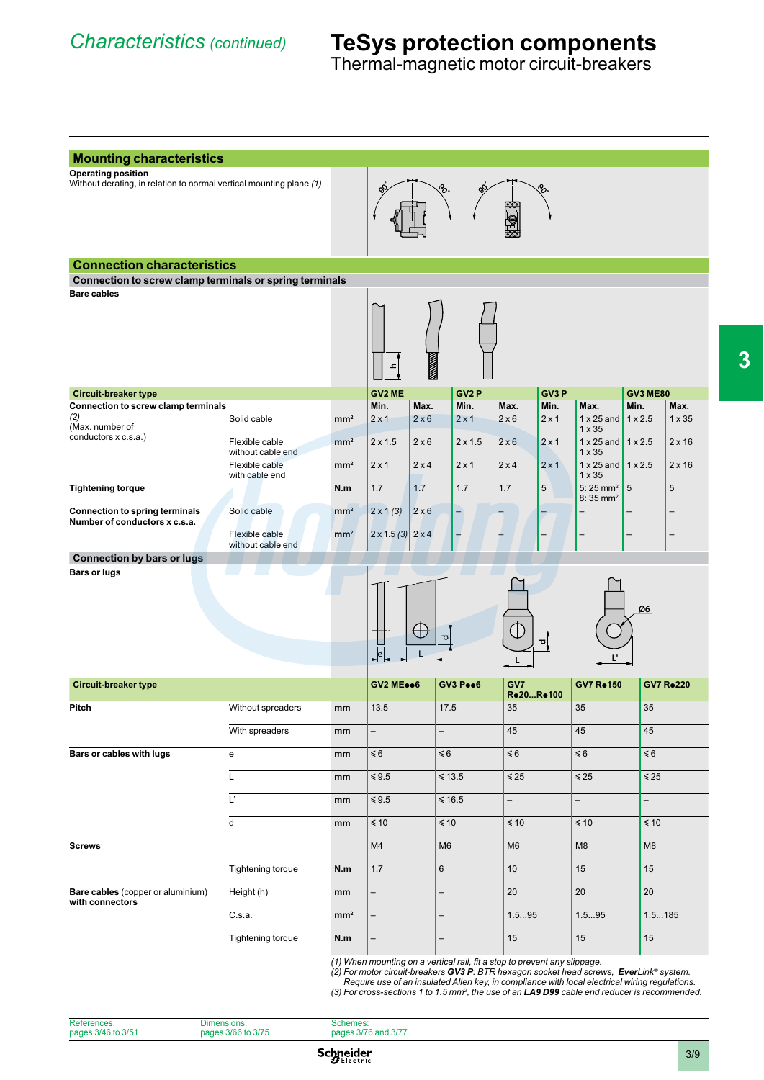Thermal-magnetic motor circuit-breakers

| Without derating, in relation to normal vertical mounting plane (1)<br>Connection to screw clamp terminals or spring terminals<br>Solid cable<br>Flexible cable<br>without cable end<br>Flexible cable<br>with cable end<br>Solid cable | mm <sup>2</sup><br>mm <sup>2</sup><br>mm <sup>2</sup> | ᅩ<br><b>GV2 ME</b><br>Min.<br>$2 \times 1$  | Max.                     | GV <sub>2</sub> P |                                                                                        |                   |                                                  |                                                                                                                                                                                     |                                                      |  |
|-----------------------------------------------------------------------------------------------------------------------------------------------------------------------------------------------------------------------------------------|-------------------------------------------------------|---------------------------------------------|--------------------------|-------------------|----------------------------------------------------------------------------------------|-------------------|--------------------------------------------------|-------------------------------------------------------------------------------------------------------------------------------------------------------------------------------------|------------------------------------------------------|--|
|                                                                                                                                                                                                                                         |                                                       |                                             |                          |                   |                                                                                        |                   |                                                  |                                                                                                                                                                                     |                                                      |  |
|                                                                                                                                                                                                                                         |                                                       |                                             |                          |                   |                                                                                        |                   |                                                  |                                                                                                                                                                                     |                                                      |  |
|                                                                                                                                                                                                                                         |                                                       |                                             |                          |                   |                                                                                        |                   |                                                  |                                                                                                                                                                                     |                                                      |  |
|                                                                                                                                                                                                                                         |                                                       |                                             |                          |                   |                                                                                        |                   |                                                  |                                                                                                                                                                                     |                                                      |  |
|                                                                                                                                                                                                                                         |                                                       |                                             |                          |                   |                                                                                        | GV <sub>3</sub> P |                                                  | <b>GV3 ME80</b>                                                                                                                                                                     |                                                      |  |
|                                                                                                                                                                                                                                         |                                                       |                                             |                          | Min.              | Max.                                                                                   | Min.              | Max.                                             | Min.                                                                                                                                                                                | Max.                                                 |  |
|                                                                                                                                                                                                                                         |                                                       |                                             | 2x6                      | $2 \times 1$      | 2x6                                                                                    | $2 \times 1$      | $1 \times 25$ and<br>$1 \times 35$               | $1 \times 2.5$                                                                                                                                                                      | $1 \times 35$                                        |  |
|                                                                                                                                                                                                                                         |                                                       | $2 \times 1.5$                              | $2 \times 6$             | $2 \times 1.5$    | $2 \times 6$                                                                           | $2 \times 1$      | $1 \times 25$ and<br>$1 \times 35$               | $1 \times 2.5$                                                                                                                                                                      | $2 \times 16$                                        |  |
|                                                                                                                                                                                                                                         |                                                       | $2 \times 1$                                | 2x4                      | $2 \times 1$      | 2x4                                                                                    | $2 \times 1$      | $1 \times 25$ and<br>$1 \times 35$               | $1 \times 2.5$                                                                                                                                                                      | $2 \times 16$                                        |  |
|                                                                                                                                                                                                                                         | N.m                                                   | 1.7                                         | 1.7                      | 1.7               | 1.7                                                                                    | $\overline{5}$    | $5:25$ mm <sup>2</sup><br>$8:35$ mm <sup>2</sup> | 5                                                                                                                                                                                   | 5                                                    |  |
| Flexible cable                                                                                                                                                                                                                          | mm <sup>2</sup><br>mm <sup>2</sup>                    | $2 \times 1 (3)$<br>$2 \times 1.5(3)$ 2 x 4 | $2 \times 6$             | $-$               | -<br>ц                                                                                 |                   | $\overline{\phantom{0}}$                         |                                                                                                                                                                                     | $\overline{\phantom{0}}$<br>$\overline{\phantom{0}}$ |  |
| without cable end                                                                                                                                                                                                                       |                                                       |                                             |                          |                   |                                                                                        |                   |                                                  |                                                                                                                                                                                     |                                                      |  |
|                                                                                                                                                                                                                                         |                                                       | $\downarrow$ e                              | ರ                        |                   |                                                                                        | 힉                 | L.                                               | Ø6                                                                                                                                                                                  |                                                      |  |
|                                                                                                                                                                                                                                         |                                                       |                                             |                          |                   | GV7                                                                                    |                   | <b>GV7 Ro150</b>                                 |                                                                                                                                                                                     | <b>GV7 Ro220</b>                                     |  |
| Without spreaders                                                                                                                                                                                                                       |                                                       | 13.5                                        |                          |                   | 35                                                                                     |                   | 35                                               | 35                                                                                                                                                                                  |                                                      |  |
| With spreaders                                                                                                                                                                                                                          | mm                                                    | $\overline{\phantom{0}}$                    | $\overline{\phantom{0}}$ |                   | 45                                                                                     |                   | 45                                               | 45                                                                                                                                                                                  |                                                      |  |
|                                                                                                                                                                                                                                         |                                                       | $\leq 6$                                    |                          |                   | $\leq 6$                                                                               |                   | $\leq 6$                                         | $\leq 6$                                                                                                                                                                            |                                                      |  |
|                                                                                                                                                                                                                                         |                                                       | $\leq 9.5$                                  |                          |                   | $\leq 25$                                                                              |                   | $\leq 25$                                        | $\leq 25$                                                                                                                                                                           |                                                      |  |
|                                                                                                                                                                                                                                         | mm                                                    | $\leq 9.5$                                  |                          |                   | $\overline{\phantom{0}}$                                                               |                   | $\overline{\phantom{0}}$                         | $\overline{\phantom{0}}$                                                                                                                                                            |                                                      |  |
|                                                                                                                                                                                                                                         | mm                                                    | $\leq 10$                                   |                          |                   | $\leq 10$                                                                              |                   | $\leq 10$                                        | $\leq 10$                                                                                                                                                                           |                                                      |  |
|                                                                                                                                                                                                                                         |                                                       | M4                                          |                          |                   | M <sub>6</sub>                                                                         |                   | M <sub>8</sub>                                   | M <sub>8</sub>                                                                                                                                                                      |                                                      |  |
| Tightening torque                                                                                                                                                                                                                       | N.m                                                   | 1.7                                         | 6                        |                   | 10                                                                                     |                   | 15                                               | 15                                                                                                                                                                                  |                                                      |  |
| Height (h)                                                                                                                                                                                                                              | mm                                                    | $\overline{\phantom{0}}$                    | $\overline{\phantom{0}}$ |                   | 20                                                                                     |                   | 20                                               | 20                                                                                                                                                                                  |                                                      |  |
|                                                                                                                                                                                                                                         | mm <sup>2</sup>                                       | $\overline{\phantom{0}}$                    | -                        |                   |                                                                                        |                   |                                                  |                                                                                                                                                                                     |                                                      |  |
|                                                                                                                                                                                                                                         |                                                       | $\overline{\phantom{0}}$                    | $\overline{\phantom{0}}$ |                   |                                                                                        |                   |                                                  |                                                                                                                                                                                     |                                                      |  |
|                                                                                                                                                                                                                                         | Tightening torque                                     | mm<br>mm<br>mm<br>N.m                       |                          | <b>GV2 MEee6</b>  | GV3 Pee6<br>17.5<br>$\leq 6$<br>$\leq 13.5$<br>$≤ 16.5$<br>$\leq 10$<br>M <sub>6</sub> | 15                | Ro20Ro100<br>1.595                               | 1.595<br>15<br>(1) When mounting on a vertical rail, fit a stop to prevent any slippage.<br>(2) For motor circuit-breakers GV3 P: BTR hexagon socket head screws, EverLink® system. | 1.5185<br>15                                         |  |

References: pages 3/46 to 3/51 Dimensions: pages 3/66 to 3/75 Schemes: pages 3/76 and 3/77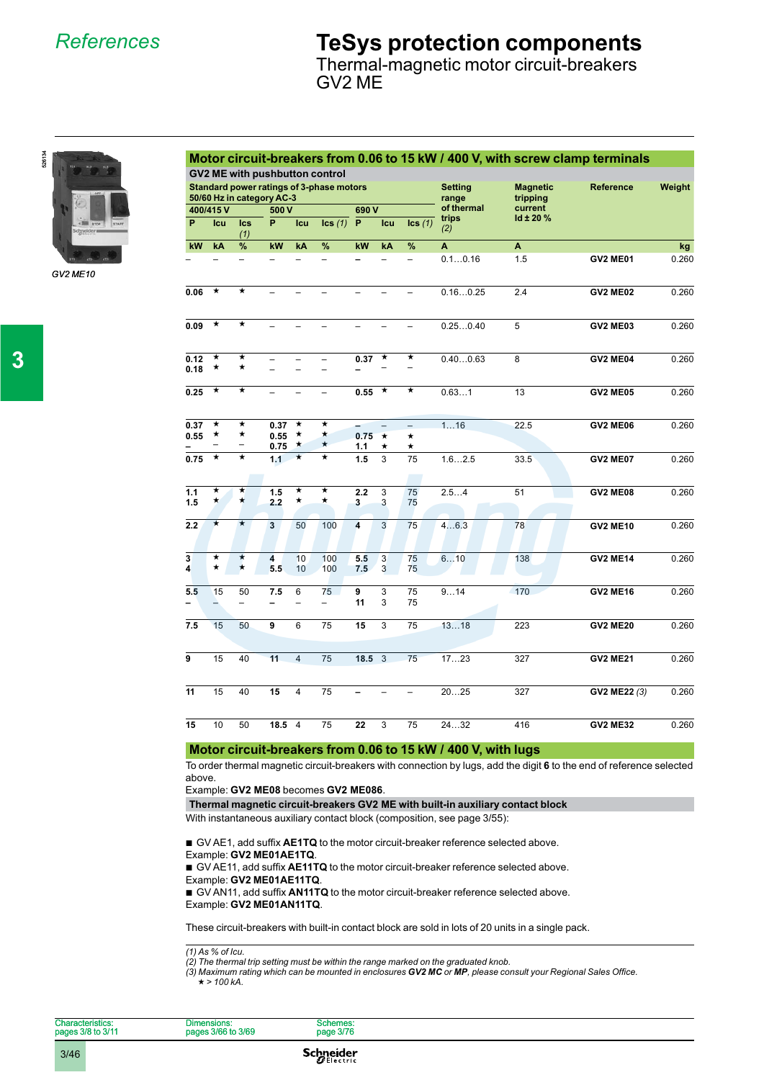*References*

### **TeSys protection components**

Thermal-magnetic motor circuit-breakers GV2 ME



*GV2 ME10*

|                                                    |                                                                       |                                |              |                    |                                       |            |            |                |                         |                             | Motor circuit-breakers from 0.06 to 15 kW / 400 V, with screw clamp terminals |        |
|----------------------------------------------------|-----------------------------------------------------------------------|--------------------------------|--------------|--------------------|---------------------------------------|------------|------------|----------------|-------------------------|-----------------------------|-------------------------------------------------------------------------------|--------|
|                                                    |                                                                       |                                |              |                    | <b>GV2 ME with pushbutton control</b> |            |            |                |                         |                             |                                                                               |        |
|                                                    | Standard power ratings of 3-phase motors<br>50/60 Hz in category AC-3 |                                |              |                    |                                       |            |            |                | <b>Setting</b><br>range | <b>Magnetic</b><br>tripping | <b>Reference</b>                                                              | Weight |
|                                                    | 400/415V<br>500 V                                                     |                                |              | 690V               |                                       |            | of thermal | current        |                         |                             |                                                                               |        |
| P                                                  | Icu                                                                   | <b>Ics</b><br>(1)              | P.           | Icu                | lcs(1)                                | P          | Icu        | lcs(1)         | trips<br>(2)            | Id $± 20%$                  |                                                                               |        |
| kW                                                 | kA                                                                    | %                              | kW           | kA                 | %                                     | kW         | kA         | %              | A                       | A                           |                                                                               | kg     |
|                                                    |                                                                       |                                |              |                    | $\overline{a}$                        |            |            | $\overline{a}$ | 0.10.16                 | 1.5                         | <b>GV2 ME01</b>                                                               | 0.260  |
| 0.06                                               | $^\star$                                                              | $\star$                        |              |                    |                                       |            |            |                | 0.160.25                | 2.4                         | <b>GV2 ME02</b>                                                               | 0.260  |
| 0.09                                               | $^\star$                                                              | $^\star$                       |              |                    |                                       |            |            | ÷              | 0.250.40                | 5                           | <b>GV2 ME03</b>                                                               | 0.260  |
| 0.12<br>0.18                                       | $^\star$<br>$^\star$                                                  | *<br>$\star$                   |              | ÷                  | $\equiv$                              | 0.37       | $^\star$   | *              | 0.400.63                | 8                           | <b>GV2 ME04</b>                                                               | 0.260  |
| 0.25                                               | $\star$                                                               | *                              |              |                    |                                       | 0.55       | $\star$    | *              | 0.631                   | 13                          | <b>GV2 ME05</b>                                                               | 0.260  |
| 0.37<br>0.55                                       | ★<br>★                                                                | *<br>$\star$                   | 0.37<br>0.55 | ★<br>$^\star$      | *<br>$\star$                          | 0.75       | $\star$    | $\star$        | 116                     | 22.5                        | <b>GV2 ME06</b>                                                               | 0.260  |
|                                                    | $\overline{a}$                                                        | -                              | 0.75         | $\star$            | $\star$                               | 1.1        | *          | *              |                         |                             |                                                                               |        |
| 0.75                                               | $\overline{\ast}$                                                     | *                              | 1.1          | $\overline{\star}$ | $\overline{\star}$                    | 1.5        | 3          | 75             | 1.62.5                  | 33.5                        | <b>GV2 ME07</b>                                                               | 0.260  |
| 1.1<br>1.5                                         | $\star$<br>$\star$                                                    | $\star$<br>$\star$             | 1.5<br>2.2   | $^\star$<br>*      | $\star$<br>$\star$                    | 2.2<br>3   | 3<br>3     | 75<br>75       | 2.54                    | 51                          | <b>GV2 ME08</b>                                                               | 0.260  |
| 2.2                                                | $\star$                                                               | $\star$                        | 3            | 50                 | 100                                   | 4          | 3          | 75             | 46.3                    | 78                          | <b>GV2 ME10</b>                                                               | 0.260  |
| $\overline{\mathbf{3}}$<br>$\overline{\mathbf{A}}$ | ★<br>$\star$                                                          | $\star$<br>$\star$             | 4<br>5.5     | 10<br>10           | 100<br>100                            | 5.5<br>7.5 | 3<br>3     | 75<br>75       | 610                     | 138                         | <b>GV2 ME14</b>                                                               | 0.260  |
| 5.5                                                | 15<br>$\overline{\phantom{0}}$                                        | 50<br>$\overline{\phantom{0}}$ | 7.5          | 6                  | 75<br>$\overline{\phantom{0}}$        | 9<br>11    | 3<br>3     | 75<br>75       | 914                     | 170                         | <b>GV2 ME16</b>                                                               | 0.260  |
| 7.5                                                | 15                                                                    | 50                             | 9            | 6                  | 75                                    | 15         | 3          | 75             | 1318                    | 223                         | <b>GV2 ME20</b>                                                               | 0.260  |
| 9                                                  | 15                                                                    | 40                             | 11           | $\overline{4}$     | 75                                    | 18.5       | 3          | 75             | 1723                    | 327                         | <b>GV2 ME21</b>                                                               | 0.260  |
| 11                                                 | 15                                                                    | 40                             | 15           | 4                  | 75                                    |            |            | -              | 2025                    | 327                         | <b>GV2 ME22 (3)</b>                                                           | 0.260  |
| 15                                                 | 10                                                                    | 50                             | 18.5         | $\overline{4}$     | 75                                    | 22         | 3          | 75             | 2432                    | 416                         | <b>GV2 ME32</b>                                                               | 0.260  |

### **Motor circuit-breakers from 0.06 to 15 kW / 400 V, with lugs**

To order thermal magnetic circuit-breakers with connection by lugs, add the digit **6** to the end of reference selected above.

Example: **GV2 ME08** becomes **GV2 ME086**.

#### **Thermal magnetic circuit-breakers GV2 ME with built-in auxiliary contact block**

With instantaneous auxiliary contact block (composition, see page 3/55):

■ GV AE1, add suffix **AE1TQ** to the motor circuit-breaker reference selected above. Example: **GV2 ME01AE1TQ**. b ■ GV AE11, add suffix **AE11TQ** to the motor circuit-breaker reference selected above. Example: **GV2 ME01AE11TQ**. b ■ GV AN11, add suffix **AN11TQ** to the motor circuit-breaker reference selected above. Example: **GV2 ME01AN11TQ**. b

These circuit-breakers with built-in contact block are sold in lots of 20 units in a single pack.

*(1) As % of Icu. (2) The thermal trip setting must be within the range marked on the graduated knob.*

 $(3)$  Maximum rating which can be mounted in enclosures GV2 MC or MP, please consult your Regional Sales Office.

 $\star$  > 100 kA.

| <b>Characteristics:</b><br>pages 3/8 to 3/11 | Dimensions:<br>pages 3/66 to 3/69 | Schemes:<br>page 3/76 |  |
|----------------------------------------------|-----------------------------------|-----------------------|--|
| 3/46                                         |                                   | Schneider             |  |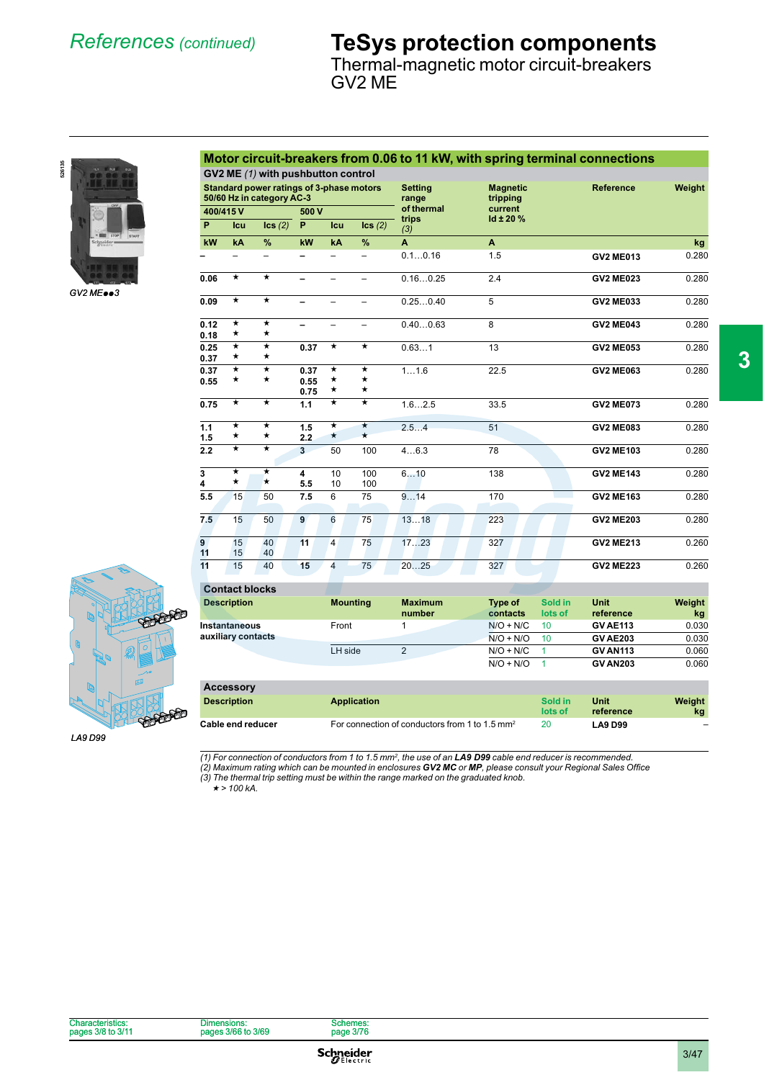Thermal-magnetic motor circuit-breakers GV2 ME



*GV2 MEpp<sup>3</sup>*

| <b>Standard power ratings of 3-phase motors</b><br>50/60 Hz in category AC-3 |                         |                         | <b>Setting</b><br>range | <b>Magnetic</b><br>tripping | <b>Reference</b>              | Weight       |                           |                  |       |  |
|------------------------------------------------------------------------------|-------------------------|-------------------------|-------------------------|-----------------------------|-------------------------------|--------------|---------------------------|------------------|-------|--|
|                                                                              | 400/415V                |                         | 500 V                   |                             |                               | of thermal   | current<br>$Id \pm 20 \%$ |                  |       |  |
| P                                                                            | Icu                     | $\textsf{lcs}(2)$       | P                       | Icu                         | lcs(2)                        | trips<br>(3) |                           |                  |       |  |
| kW                                                                           | kA                      | $\%$                    | kW                      | kA                          | %                             | A            | A                         |                  | kg    |  |
|                                                                              |                         |                         |                         |                             | $\overline{\phantom{0}}$      | 0.10.16      | 1.5                       | <b>GV2 ME013</b> | 0.280 |  |
| 0.06                                                                         | $\overline{\star}$      | $\overline{\star}$      |                         |                             |                               | 0.160.25     | 2.4                       | <b>GV2 ME023</b> | 0.280 |  |
| 0.09                                                                         | $\bigstar$              | $\overline{\textbf{r}}$ | -                       |                             |                               | 0.250.40     | 5                         | <b>GV2 ME033</b> | 0.280 |  |
| 0.12<br>0.18                                                                 | $^\star$<br>$\star$     | $^\star$<br>$\star$     | -                       |                             | -                             | 0.400.63     | 8                         | <b>GV2 ME043</b> | 0.280 |  |
| 0.25<br>0.37                                                                 | $\star$<br>$\star$      | $\star$<br>$\star$      | 0.37                    | $\star$                     | $\star$                       | 0.631        | 13                        | <b>GV2 ME053</b> | 0.280 |  |
| 0.37<br>0.55                                                                 | $\star$<br>$^\star$     | $\star$<br>$\star$      | 0.37<br>0.55<br>0.75    | $\star$<br>*<br>$\star$     | $\star$<br>$\star$<br>$\star$ | 11.6         | 22.5                      | <b>GV2 ME063</b> | 0.280 |  |
| 0.75                                                                         | $\overline{\textbf{r}}$ | $\overline{\star}$      | 1.1                     | $\overline{\star}$          | $\overline{\ast}$             | 1.62.5       | 33.5                      | <b>GV2 ME073</b> | 0.280 |  |
| 1.1<br>1.5                                                                   | $\star$<br>$\star$      | $\star$<br>$\star$      | 1.5<br>2.2              | $\star$<br>$\star$          | $\star$<br>$\star$            | 2.54         | 51                        | <b>GV2 ME083</b> | 0.280 |  |
| 2.2                                                                          | $\overline{\ast}$       | $\star$                 | $\overline{3}$          | 50                          | 100                           | 46.3         | 78                        | <b>GV2 ME103</b> | 0.280 |  |
| 3<br>4                                                                       | $\star$<br>$\star$      | $\star$<br>$\star$      | 4<br>5.5                | 10<br>10                    | 100<br>100                    | 610          | 138                       | <b>GV2 ME143</b> | 0.280 |  |
| 5.5                                                                          | 15                      | 50                      | 7.5                     | 6                           | 75                            | 914          | 170                       | <b>GV2 ME163</b> | 0.280 |  |
| 7.5                                                                          | 15                      | 50                      | 9                       | 6                           | 75                            | 1318         | 223                       | <b>GV2 ME203</b> | 0.280 |  |
| 9<br>11                                                                      | 15<br>15                | 40<br>40                | 11                      | $\overline{4}$              | 75                            | 1723         | 327                       | <b>GV2 ME213</b> | 0.260 |  |
| 11                                                                           | 15                      | 40                      | 15                      | $\overline{4}$              | 75                            | 2025         | 327                       | <b>GV2 ME223</b> | 0.260 |  |
| <b>A</b>                                                                     | .                       |                         |                         |                             |                               |              |                           |                  |       |  |

**Motor circuit-breakers from 0.06 to 11 kW, with spring terminal connections**

**GV2 ME** *(1)* **with pushbutton control**



*LA9 D99*

**Contact blocks Description Mounting Maximum number Type of contacts Sold in lots of Unit reference Weight kg Instantaneous auxiliary contacts** Front 1 N/O + N/C 10 **GV AE113** 0.030<br>N/O + N/O 10 **GV AE203** 0.030  $N/O + N/O$  10 **GV AE203** LH side 2 N/O + N/C 1 **GV AN113** 0.060 N/O + N/O 1 **GV AN203** 0.060 **Accessory**

| <b>LIANDRUM</b>          | <b>Application</b>                                         | Sold in | Unit           | Weight |
|--------------------------|------------------------------------------------------------|---------|----------------|--------|
| <b>Description</b>       |                                                            | lots of | reference      | kg     |
| <b>Cable end reducer</b> | For connection of conductors from 1 to 1.5 mm <sup>2</sup> | 20      | <b>LA9 D99</b> |        |

*(1) For connection of conductors from 1 to 1.5 mm2 , the use of an LA9 D99 cable end reducer is recommended.*

(2) Maximum rating which can be mounted in enclosures **GV2 MC** or **MP**, please consult your Regional Sales Office<br>(3) The thermal trip setting must be within the range marked on the graduated knob.

 $\star$  > 100 kA.

| pages |                   | $\sim$ 10    |  |  |
|-------|-------------------|--------------|--|--|
| Chara | าทรเดท⊾<br>$\sum$ | emes<br>2170 |  |  |

**Schneider** 

**3**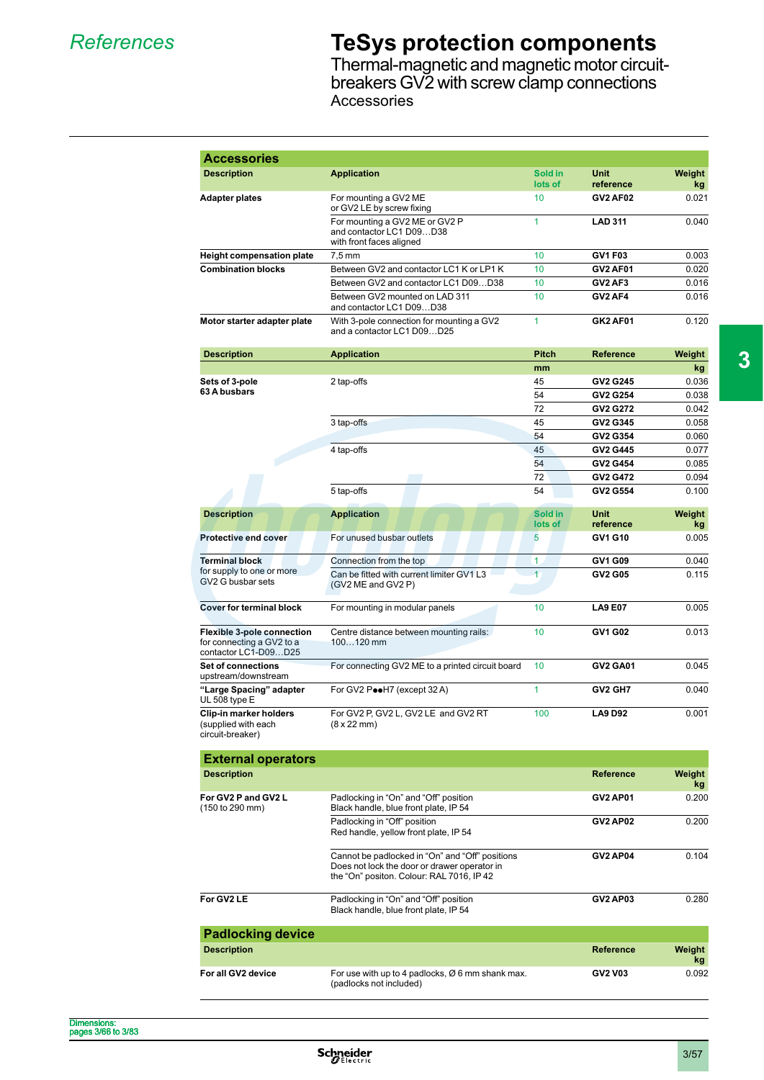### *References* **TeSys protection components**

Thermal-magnetic and magnetic motor circuitbreakers GV2 with screw clamp connections **Accessories** 

| <b>Accessories</b>                                                                     |                                                                                                                                              |                    |                   |              |
|----------------------------------------------------------------------------------------|----------------------------------------------------------------------------------------------------------------------------------------------|--------------------|-------------------|--------------|
| <b>Description</b>                                                                     | <b>Application</b>                                                                                                                           | Sold in<br>lots of | Unit<br>reference | Weight<br>kg |
| Adapter plates                                                                         | For mounting a GV2 ME<br>or GV2 LE by screw fixing                                                                                           | 10                 | <b>GV2 AF02</b>   | 0.021        |
|                                                                                        | For mounting a GV2 ME or GV2 P<br>and contactor LC1 D09D38<br>with front faces aligned                                                       | $\mathbf{1}$       | <b>LAD 311</b>    | 0.040        |
| <b>Height compensation plate</b>                                                       | $7.5 \text{ mm}$                                                                                                                             | 10                 | GV1 F03           | 0.003        |
| <b>Combination blocks</b>                                                              | Between GV2 and contactor LC1 K or LP1 K                                                                                                     | 10                 | <b>GV2 AF01</b>   | 0.020        |
|                                                                                        | Between GV2 and contactor LC1 D09D38                                                                                                         | 10                 | GV2 AF3           | 0.016        |
|                                                                                        | Between GV2 mounted on LAD 311<br>and contactor LC1 D09D38                                                                                   | 10                 | GV2 AF4           | 0.016        |
| Motor starter adapter plate                                                            | With 3-pole connection for mounting a GV2<br>and a contactor LC1 D09D25                                                                      | $\mathbf{1}$       | <b>GK2 AF01</b>   | 0.120        |
| <b>Description</b>                                                                     | <b>Application</b>                                                                                                                           | <b>Pitch</b>       | <b>Reference</b>  | Weight       |
|                                                                                        |                                                                                                                                              | mm                 |                   | kg           |
| Sets of 3-pole                                                                         | 2 tap-offs                                                                                                                                   | 45                 | <b>GV2 G245</b>   | 0.036        |
| 63 A busbars                                                                           |                                                                                                                                              | 54                 | <b>GV2 G254</b>   | 0.038        |
|                                                                                        |                                                                                                                                              | 72                 | <b>GV2 G272</b>   | 0.042        |
|                                                                                        | 3 tap-offs                                                                                                                                   | 45                 | GV2 G345          | 0.058        |
|                                                                                        |                                                                                                                                              | 54                 | GV2 G354          | 0.060        |
|                                                                                        | 4 tap-offs                                                                                                                                   | 45                 | GV2 G445          | 0.077        |
|                                                                                        |                                                                                                                                              | 54                 | <b>GV2 G454</b>   | 0.085        |
|                                                                                        |                                                                                                                                              | 72                 | <b>GV2 G472</b>   | 0.094        |
|                                                                                        | 5 tap-offs                                                                                                                                   | 54                 | GV2 G554          | 0.100        |
| <b>Description</b>                                                                     | <b>Application</b>                                                                                                                           | Sold in<br>lots of | Unit<br>reference | Weight<br>kg |
| <b>Protective end cover</b>                                                            | For unused busbar outlets                                                                                                                    | 5                  | GV1 G10           | 0.005        |
| <b>Terminal block</b>                                                                  | Connection from the top                                                                                                                      | 1                  | GV1 G09           | 0.040        |
| for supply to one or more<br>GV2 G busbar sets                                         | Can be fitted with current limiter GV1 L3<br>(GV2 ME and GV2 P)                                                                              | $\overline{1}$     | <b>GV2 G05</b>    | 0.115        |
| <b>Cover for terminal block</b>                                                        | For mounting in modular panels                                                                                                               | 10                 | <b>LA9 E07</b>    | 0.005        |
| <b>Flexible 3-pole connection</b><br>for connecting a GV2 to a<br>contactor LC1-D09D25 | Centre distance between mounting rails:<br>$100120$ mm                                                                                       | 10                 | GV1 G02           | 0.013        |
| Set of connections<br>upstream/downstream                                              | For connecting GV2 ME to a printed circuit board                                                                                             | 10                 | <b>GV2 GA01</b>   | 0.045        |
| "Large Spacing" adapter<br>UL 508 type E                                               | For GV2 PooH7 (except 32 A)                                                                                                                  | $\overline{1}$     | GV2 GH7           | 0.040        |
| Clip-in marker holders<br>(supplied with each<br>circuit-breaker)                      | For GV2 P. GV2 L. GV2 LE and GV2 RT<br>(8 x 22 mm)                                                                                           | 100                | <b>LA9 D92</b>    | 0.001        |
| <b>External operators</b>                                                              |                                                                                                                                              |                    |                   |              |
| <b>Description</b>                                                                     |                                                                                                                                              |                    | Reference         | Weight<br>kg |
| For GV2 P and GV2 L<br>(150 to 290 mm)                                                 | Padlocking in "On" and "Off" position<br>Black handle, blue front plate, IP 54                                                               |                    | <b>GV2 AP01</b>   | 0.200        |
|                                                                                        | Padlocking in "Off" position<br>Red handle, yellow front plate, IP 54                                                                        |                    | <b>GV2 AP02</b>   | 0.200        |
|                                                                                        | Cannot be padlocked in "On" and "Off" positions<br>Does not lock the door or drawer operator in<br>the "On" positon. Colour: RAL 7016, IP 42 |                    | <b>GV2 AP04</b>   | 0.104        |
| For GV2 LE                                                                             | Padlocking in "On" and "Off" position<br>Black handle, blue front plate, IP 54                                                               |                    | <b>GV2 AP03</b>   | 0.280        |
| <b>Padlocking device</b>                                                               |                                                                                                                                              |                    |                   |              |
| <b>Description</b>                                                                     |                                                                                                                                              |                    | <b>Reference</b>  | Weight<br>kg |
| For all GV2 device                                                                     | For use with up to 4 padlocks, Ø 6 mm shank max.<br>(padlocks not included)                                                                  |                    | <b>GV2 V03</b>    | 0.092        |